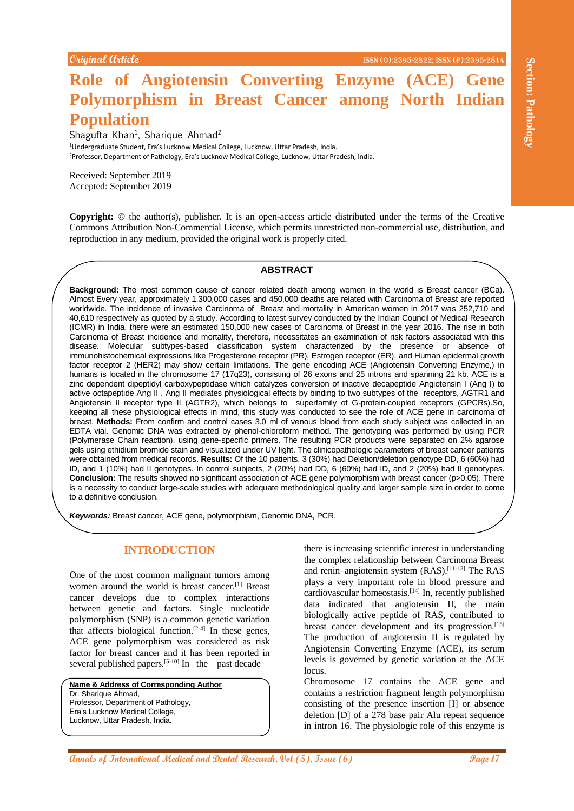# **Role of Angiotensin Converting Enzyme (ACE) Gene Polymorphism in Breast Cancer among North Indian Population**

Shagufta Khan<sup>1</sup>, Sharique Ahmad<sup>2</sup> <sup>1</sup>Undergraduate Student, Era's Lucknow Medical College, Lucknow, Uttar Pradesh, India. <sup>2</sup>Professor, Department of Pathology, Era's Lucknow Medical College, Lucknow, Uttar Pradesh, India.

Received: September 2019 Accepted: September 2019

**Copyright:** © the author(s), publisher. It is an open-access article distributed under the terms of the Creative Commons Attribution Non-Commercial License, which permits unrestricted non-commercial use, distribution, and reproduction in any medium, provided the original work is properly cited.

#### **ABSTRACT**

**Annals of International Annals of International Medical Annals of International Medical Annal Medical Annal Medical and Dental Research, Vol (5), Issue (6) (1), Islam Control Medical and Dental Research, Vol (5), Islam Co Background:** The most common cause of cancer related death among women in the world is Breast cancer (BCa). Almost Every year, approximately 1,300,000 cases and 450,000 deaths are related with Carcinoma of Breast are reported worldwide. The incidence of invasive Carcinoma of Breast and mortality in American women in 2017 was 252,710 and 40,610 respectively as quoted by a study. According to latest survey conducted by the Indian Council of Medical Research (ICMR) in India, there were an estimated 150,000 new cases of Carcinoma of Breast in the year 2016. The rise in both Carcinoma of Breast incidence and mortality, therefore, necessitates an examination of risk factors associated with this disease. Molecular subtypes-based classification system characterized by the presence or absence of immunohistochemical expressions like Progesterone receptor (PR), Estrogen receptor (ER), and Human epidermal growth factor receptor 2 (HER2) may show certain limitations. The gene encoding ACE (Angiotensin Converting Enzyme,) in humans is located in the chromosome 17 (17q23), consisting of 26 exons and 25 introns and spanning 21 kb. ACE is a zinc dependent dipeptidyl carboxypeptidase which catalyzes conversion of inactive decapeptide Angiotensin I (Ang I) to active octapeptide Ang II . Ang II mediates physiological effects by binding to two subtypes of the receptors, AGTR1 and Angiotensin II receptor type II (AGTR2), which belongs to superfamily of G-protein-coupled receptors (GPCRs).So, keeping all these physiological effects in mind, this study was conducted to see the role of ACE gene in carcinoma of breast. **Methods:** From confirm and control cases 3.0 ml of venous blood from each study subject was collected in an EDTA vial. Genomic DNA was extracted by phenol-chloroform method. The genotyping was performed by using PCR (Polymerase Chain reaction), using gene-specific primers. The resulting PCR products were separated on 2% agarose gels using ethidium bromide stain and visualized under UV light. The clinicopathologic parameters of breast cancer patients were obtained from medical records. **Results:** Of the 10 patients, 3 (30%) had Deletion/deletion genotype DD, 6 (60%) had ID, and 1 (10%) had II genotypes. In control subjects, 2 (20%) had DD, 6 (60%) had ID, and 2 (20%) had II genotypes. **Conclusion:** The results showed no significant association of ACE gene polymorphism with breast cancer (p>0.05). There is a necessity to conduct large-scale studies with adequate methodological quality and larger sample size in order to come to a definitive conclusion.

*Keywords:* Breast cancer, ACE gene, polymorphism, Genomic DNA, PCR.

# **INTRODUCTION**

One of the most common malignant tumors among women around the world is breast cancer.<sup>[1]</sup> Breast cancer develops due to complex interactions between genetic and factors. Single nucleotide polymorphism (SNP) is a common genetic variation that affects biological function.<sup>[2-4]</sup> In these genes, ACE gene polymorphism was considered as risk factor for breast cancer and it has been reported in several published papers.<sup>[5-10]</sup> In the past decade

**Name & Address of Corresponding Author** Dr. Sharique Ahmad, Professor, Department of Pathology, Era's Lucknow Medical College, Lucknow, Uttar Pradesh, India.

there is increasing scientific interest in understanding the complex relationship between Carcinoma Breast and renin–angiotensin system (RAS).<sup>[11-13]</sup> The RAS plays a very important role in blood pressure and cardiovascular homeostasis.[14] In, recently published data indicated that angiotensin II, the main biologically active peptide of RAS, contributed to breast cancer development and its progression.<sup>[15]</sup> The production of angiotensin II is regulated by Angiotensin Converting Enzyme (ACE), its serum levels is governed by genetic variation at the ACE locus.

Chromosome 17 contains the ACE gene and contains a restriction fragment length polymorphism consisting of the presence insertion [I] or absence deletion [D] of a 278 base pair Alu repeat sequence in intron 16. The physiologic role of this enzyme is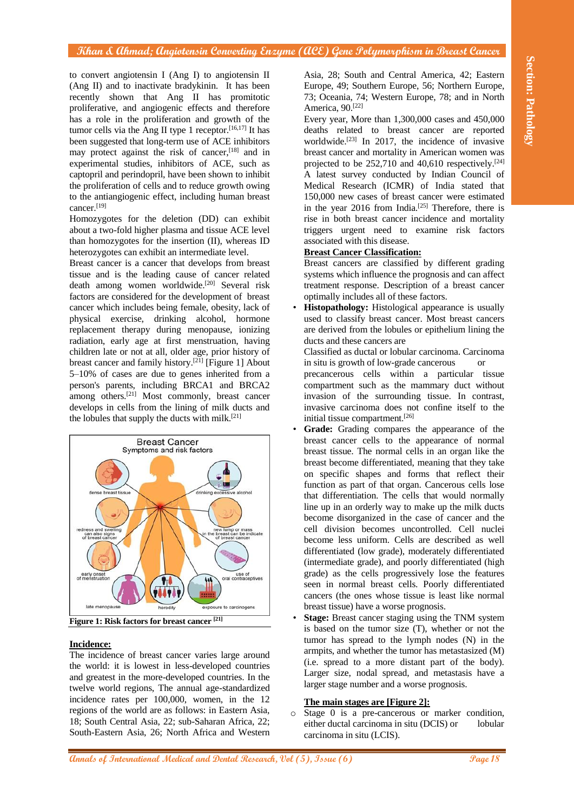to convert angiotensin I (Ang I) to angiotensin II (Ang II) and to inactivate bradykinin. It has been recently shown that Ang II has promitotic proliferative, and angiogenic effects and therefore has a role in the proliferation and growth of the tumor cells via the Ang II type 1 receptor. $[16,17]$  It has been suggested that long-term use of ACE inhibitors may protect against the risk of cancer,<sup>[18]</sup> and in experimental studies, inhibitors of ACE, such as captopril and perindopril, have been shown to inhibit the proliferation of cells and to reduce growth owing to the antiangiogenic effect, including human breast cancer.[19]

Homozygotes for the deletion (DD) can exhibit about a two-fold higher plasma and tissue ACE level than homozygotes for the insertion (II), whereas ID heterozygotes can exhibit an intermediate level.

Breast cancer is a cancer that develops from breast tissue and is the leading cause of cancer related death among women worldwide.[20] Several risk factors are considered for the development of breast cancer which includes being female, obesity, lack of physical exercise, drinking alcohol, hormone replacement therapy during menopause, ionizing radiation, early age at first menstruation, having children late or not at all, older age, prior history of breast cancer and family history.<sup>[21]</sup> [Figure 1] About 5–10% of cases are due to genes inherited from a person's parents, including BRCA1 and BRCA2 among others. [21] Most commonly, breast cancer develops in cells from the lining of milk ducts and the lobules that supply the ducts with milk.[21]



#### **Incidence:**

The incidence of breast cancer varies large around the world: it is lowest in less-developed countries and greatest in the more-developed countries. In the twelve world regions, The annual age-standardized incidence rates per 100,000, women, in the 12 regions of the world are as follows: in Eastern Asia, 18; South Central Asia, 22; sub-Saharan Africa, 22; South-Eastern Asia, 26; North Africa and Western

Asia, 28; South and Central America, 42; Eastern Europe, 49; Southern Europe, 56; Northern Europe, 73; Oceania, 74; Western Europe, 78; and in North America, 90.[22]

Every year, More than 1,300,000 cases and 450,000 deaths related to breast cancer are reported worldwide.<sup>[23]</sup> In 2017, the incidence of invasive breast cancer and mortality in American women was projected to be  $252,710$  and  $40,610$  respectively.<sup>[24]</sup> A latest survey conducted by Indian Council of Medical Research (ICMR) of India stated that 150,000 new cases of breast cancer were estimated in the year  $2016$  from India.<sup>[25]</sup> Therefore, there is rise in both breast cancer incidence and mortality triggers urgent need to examine risk factors associated with this disease.

### **Breast Cancer Classification:**

Breast cancers are classified by different grading systems which influence the prognosis and can affect treatment response. Description of a breast cancer optimally includes all of these factors.

**Histopathology:** Histological appearance is usually used to classify breast cancer. Most breast cancers are derived from the lobules or epithelium lining the ducts and these cancers are

Classified as ductal or lobular carcinoma. Carcinoma in situ is growth of low-grade cancerous or

precancerous cells within a particular tissue compartment such as the mammary duct without invasion of the surrounding tissue. In contrast, invasive carcinoma does not confine itself to the initial tissue compartment.[26]

- **Grade:** Grading compares the appearance of the breast cancer cells to the appearance of normal breast tissue. The normal cells in an organ like the breast become differentiated, meaning that they take on specific shapes and forms that reflect their function as part of that organ. Cancerous cells lose that differentiation. The cells that would normally line up in an orderly way to make up the milk ducts become disorganized in the case of cancer and the cell division becomes uncontrolled. Cell nuclei become less uniform. Cells are described as well differentiated (low grade), moderately differentiated (intermediate grade), and poorly differentiated (high grade) as the cells progressively lose the features seen in normal breast cells. Poorly differentiated cancers (the ones whose tissue is least like normal breast tissue) have a worse prognosis.
- **Stage:** Breast cancer staging using the TNM system is based on the tumor size (T), whether or not the tumor has spread to the lymph nodes (N) in the armpits, and whether the tumor has metastasized (M) (i.e. spread to a more distant part of the body). Larger size, nodal spread, and metastasis have a larger stage number and a worse prognosis.

#### **The main stages are [Figure 2]:**

o Stage 0 is a pre-cancerous or marker condition, either ductal carcinoma in situ (DCIS) or lobular carcinoma in situ (LCIS).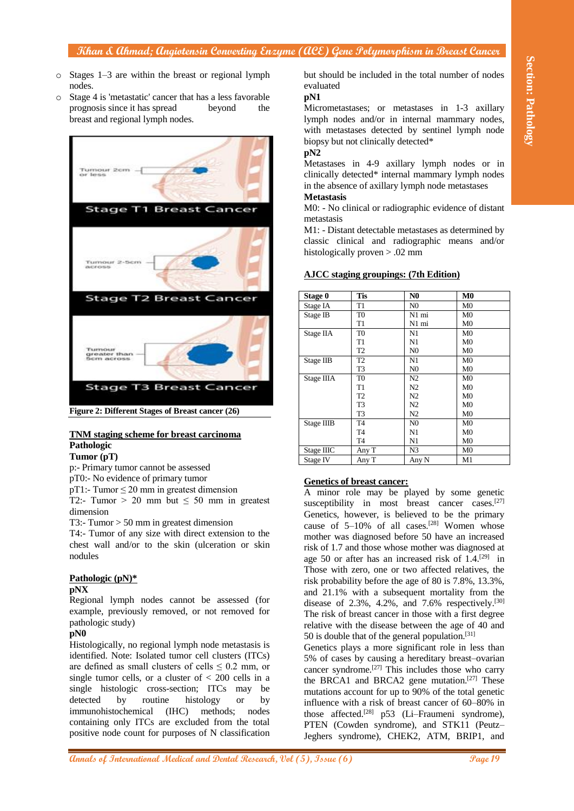- o Stages 1–3 are within the breast or regional lymph nodes.
- o Stage 4 is 'metastatic' cancer that has a less favorable prognosis since it has spread beyond the breast and regional lymph nodes.



#### **TNM staging scheme for breast carcinoma Pathologic**

#### **Tumor (pT)**

p:- Primary tumor cannot be assessed

pT0:- No evidence of primary tumor

 $pT1$ :- Tumor  $\leq$  20 mm in greatest dimension

T2:- Tumor > 20 mm but  $\leq 50$  mm in greatest dimension

T3:- Tumor > 50 mm in greatest dimension

T4:- Tumor of any size with direct extension to the chest wall and/or to the skin (ulceration or skin nodules

#### **Pathologic (pN)\***

#### **pNX**

Regional lymph nodes cannot be assessed (for example, previously removed, or not removed for pathologic study)

#### **pN0**

Histologically, no regional lymph node metastasis is identified. Note: Isolated tumor cell clusters (ITCs) are defined as small clusters of cells  $\leq 0.2$  mm, or single tumor cells, or a cluster of  $< 200$  cells in a single histologic cross-section; ITCs may be detected by routine histology or by immunohistochemical (IHC) methods; nodes containing only ITCs are excluded from the total positive node count for purposes of N classification

but should be included in the total number of nodes evaluated

# **pN1**

Micrometastases; or metastases in 1-3 axillary lymph nodes and/or in internal mammary nodes, with metastases detected by sentinel lymph node biopsy but not clinically detected\*

# **pN2**

Metastases in 4-9 axillary lymph nodes or in clinically detected\* internal mammary lymph nodes in the absence of axillary lymph node metastases

# **Metastasis**

M0: - No clinical or radiographic evidence of distant metastasis

M1: - Distant detectable metastases as determined by classic clinical and radiographic means and/or histologically proven > .02 mm

#### **AJCC staging groupings: (7th Edition)**

| Stage 0    | Tis            | N <sub>0</sub> | M <sub>0</sub> |
|------------|----------------|----------------|----------------|
| Stage IA   | T1             | N <sub>0</sub> | M <sub>0</sub> |
| Stage IB   | T0             | N1 mi          | M <sub>0</sub> |
|            | T1             | N1 mi          | M <sub>0</sub> |
| Stage IIA  | T <sub>0</sub> | N1             | M <sub>0</sub> |
|            | T1             | N1             | M <sub>0</sub> |
|            | T2             | N <sub>0</sub> | M <sub>0</sub> |
| Stage IIB  | T2             | N1             | M <sub>0</sub> |
|            | T3             | N <sub>0</sub> | M <sub>0</sub> |
| Stage IIIA | T0             | N <sub>2</sub> | M <sub>0</sub> |
|            | T1             | N <sub>2</sub> | M <sub>0</sub> |
|            | T <sub>2</sub> | N <sub>2</sub> | M <sub>0</sub> |
|            | T3             | N2             | M <sub>0</sub> |
|            | T <sub>3</sub> | N <sub>2</sub> | M <sub>0</sub> |
| Stage IIIB | T4             | N <sub>0</sub> | M <sub>0</sub> |
|            | T4             | N1             | M <sub>0</sub> |
|            | T4             | N1             | M <sub>0</sub> |
| Stage IIIC | Any T          | N <sub>3</sub> | M <sub>0</sub> |
| Stage IV   | Any T          | Any N          | M1             |

# **Genetics of breast cancer:**

A minor role may be played by some genetic susceptibility in most breast cancer cases.<sup>[27]</sup> Genetics, however, is believed to be the primary cause of  $5-10\%$  of all cases.<sup>[28]</sup> Women whose mother was diagnosed before 50 have an increased risk of 1.7 and those whose mother was diagnosed at age 50 or after has an increased risk of 1.4.[29] in Those with zero, one or two affected relatives, the risk probability before the age of 80 is 7.8%, 13.3%, and 21.1% with a subsequent mortality from the disease of 2.3%, 4.2%, and 7.6% respectively.<sup>[30]</sup> The risk of breast cancer in those with a first degree relative with the disease between the age of 40 and 50 is double that of the general population.[31]

Genetics plays a more significant role in less than 5% of cases by causing a hereditary breast–ovarian cancer syndrome.<sup>[27]</sup> This includes those who carry the BRCA1 and BRCA2 gene mutation.<sup>[27]</sup> These mutations account for up to 90% of the total genetic influence with a risk of breast cancer of 60–80% in those affected.[28] p53 (Li–Fraumeni syndrome), PTEN (Cowden syndrome), and STK11 (Peutz– Jeghers syndrome), CHEK2, ATM, BRIP1, and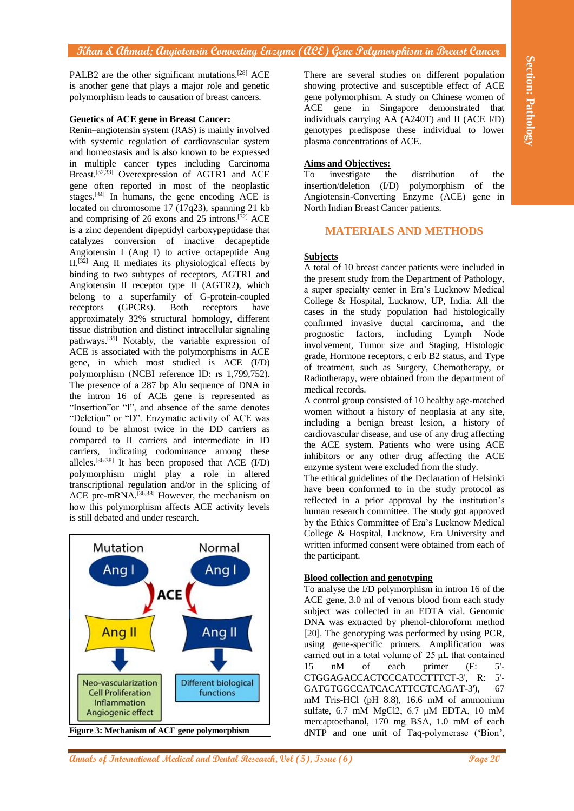PALB2 are the other significant mutations.[28] ACE is another gene that plays a major role and genetic polymorphism leads to causation of breast cancers.

#### **Genetics of ACE gene in Breast Cancer:**

**PATH:** are the distribution remained  $X_t$ . These are vertex units on defined and paper particular the distribution of the section of the section of the section of the section of the section of the section of the section Renin–angiotensin system (RAS) is mainly involved with systemic regulation of cardiovascular system and homeostasis and is also known to be expressed in multiple cancer types including Carcinoma Breast. [32,33] Overexpression of AGTR1 and ACE gene often reported in most of the neoplastic stages.<sup>[34]</sup> In humans, the gene encoding  $\widehat{ACE}$  is located on chromosome 17 (17q23), spanning 21 kb and comprising of 26 exons and  $25$  introns.<sup>[32]</sup> ACE is a zinc dependent dipeptidyl carboxypeptidase that catalyzes conversion of inactive decapeptide Angiotensin I (Ang I) to active octapeptide Ang  $II^{[32]}$  Ang II mediates its physiological effects by binding to two subtypes of receptors, AGTR1 and Angiotensin II receptor type II (AGTR2), which belong to a superfamily of G-protein-coupled receptors (GPCRs). Both receptors have approximately 32% structural homology, different tissue distribution and distinct intracellular signaling pathways.[35] Notably, the variable expression of ACE is associated with the polymorphisms in ACE gene, in which most studied is ACE (I/D) polymorphism (NCBI reference ID: rs 1,799,752). The presence of a 287 bp Alu sequence of DNA in the intron 16 of ACE gene is represented as "Insertion"or "I", and absence of the same denotes "Deletion" or "D". Enzymatic activity of ACE was found to be almost twice in the DD carriers as compared to II carriers and intermediate in ID carriers, indicating codominance among these alleles.[36-38] It has been proposed that ACE (I/D) polymorphism might play a role in altered transcriptional regulation and/or in the splicing of ACE pre-mRNA.[36,38] However, the mechanism on how this polymorphism affects ACE activity levels is still debated and under research.



There are several studies on different population showing protective and susceptible effect of ACE gene polymorphism. A study on Chinese women of ACE gene in Singapore demonstrated that individuals carrying AA (A240T) and II (ACE I/D) genotypes predispose these individual to lower plasma concentrations of ACE.

#### **Aims and Objectives:**

To investigate the distribution of the insertion/deletion (I/D) polymorphism of the Angiotensin-Converting Enzyme (ACE) gene in North Indian Breast Cancer patients.

# **MATERIALS AND METHODS**

#### **Subjects**

A total of 10 breast cancer patients were included in the present study from the Department of Pathology, a super specialty center in Era's Lucknow Medical College & Hospital, Lucknow, UP, India. All the cases in the study population had histologically confirmed invasive ductal carcinoma, and the prognostic factors, including Lymph Node involvement, Tumor size and Staging, Histologic grade, Hormone receptors, c erb B2 status, and Type of treatment, such as Surgery, Chemotherapy, or Radiotherapy, were obtained from the department of medical records.

A control group consisted of 10 healthy age-matched women without a history of neoplasia at any site, including a benign breast lesion, a history of cardiovascular disease, and use of any drug affecting the ACE system. Patients who were using ACE inhibitors or any other drug affecting the ACE enzyme system were excluded from the study.

The ethical guidelines of the Declaration of Helsinki have been conformed to in the study protocol as reflected in a prior approval by the institution's human research committee. The study got approved by the Ethics Committee of Era's Lucknow Medical College & Hospital, Lucknow, Era University and written informed consent were obtained from each of the participant.

#### **Blood collection and genotyping**

To analyse the I/D polymorphism in intron 16 of the ACE gene, 3.0 ml of venous blood from each study subject was collected in an EDTA vial. Genomic DNA was extracted by phenol-chloroform method [20]. The genotyping was performed by using PCR, using gene-specific primers. Amplification was carried out in a total volume of 25 μL that contained 15 nM of each primer (F: 5'- CTGGAGACCACTCCCATCCTTTCT-3', R: 5'- GATGTGGCCATCACATTCGTCAGAT-3'), 67 mM Tris-HCl (pH 8.8), 16.6 mM of ammonium sulfate, 6.7 mM MgCl2, 6.7 μM EDTA, 10 mM mercaptoethanol, 170 mg BSA, 1.0 mM of each dNTP and one unit of Taq-polymerase ('Bion',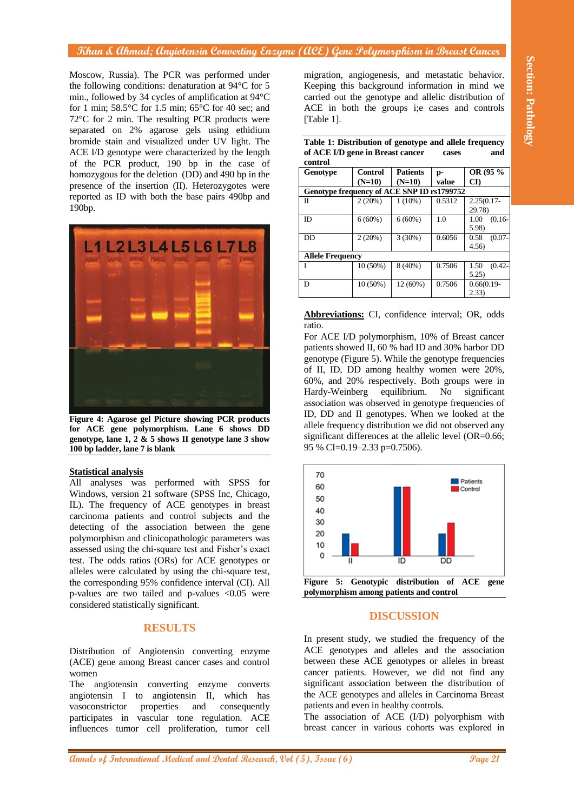Moscow, Russia). The PCR was performed under the following conditions: denaturation at 94°C for 5 min., followed by 34 cycles of amplification at 94°C for 1 min;  $58.5^{\circ}$ C for 1.5 min;  $65^{\circ}$ C for 40 sec; and 72°C for 2 min. The resulting PCR products were separated on 2% agarose gels using ethidium bromide stain and visualized under UV light. The ACE I/D genotype were characterized by the length of the PCR product, 190 bp in the case of homozygous for the deletion (DD) and 490 bp in the presence of the insertion (II). Heterozygotes were reported as ID with both the base pairs 490bp and 190bp.



**Figure 4: Agarose gel Picture showing PCR products for ACE gene polymorphism. Lane 6 shows DD genotype, lane 1, 2 & 5 shows II genotype lane 3 show 100 bp ladder, lane 7 is blank**

#### **Statistical analysis**

All analyses was performed with SPSS for Windows, version 21 software (SPSS Inc, Chicago, IL). The frequency of ACE genotypes in breast carcinoma patients and control subjects and the detecting of the association between the gene polymorphism and clinicopathologic parameters was assessed using the chi-square test and Fisher's exact test. The odds ratios (ORs) for ACE genotypes or alleles were calculated by using the chi-square test, the corresponding 95% confidence interval (CI). All p-values are two tailed and p-values <0.05 were considered statistically significant.

# **RESULTS**

Distribution of Angiotensin converting enzyme (ACE) gene among Breast cancer cases and control women

The angiotensin converting enzyme converts angiotensin I to angiotensin II, which has vasoconstrictor properties and consequently participates in vascular tone regulation. ACE influences tumor cell proliferation, tumor cell

migration, angiogenesis, and metastatic behavior. Keeping this background information in mind we carried out the genotype and allelic distribution of ACE in both the groups i;e cases and controls [Table 1].

| Table 1: Distribution of genotype and allele frequency |       |     |
|--------------------------------------------------------|-------|-----|
| of ACE I/D gene in Breast cancer                       | cases | and |
| control                                                |       |     |

| <b>Genotype</b>                            | Control   | <b>Patients</b> | p-     | OR (95 %               |  |  |
|--------------------------------------------|-----------|-----------------|--------|------------------------|--|--|
|                                            | $(N=10)$  | $(N=10)$        | value  | $\mathbf{C}\mathbf{D}$ |  |  |
| Genotype frequency of ACE SNP ID rs1799752 |           |                 |        |                        |  |  |
| Π                                          | 2(20%)    | $1(10\%)$       | 0.5312 | $2.25(0.17 -$          |  |  |
|                                            |           |                 |        | 29.78)                 |  |  |
| ID.                                        | $6(60\%)$ | $6(60\%)$       | 1.0    | $(0.16 -$<br>1.00      |  |  |
|                                            |           |                 |        | 5.98)                  |  |  |
| <b>DD</b>                                  | 2(20%)    | 3(30%)          | 0.6056 | $(0.07 -$<br>0.58      |  |  |
|                                            |           |                 |        | 4.56                   |  |  |
| <b>Allele Frequency</b>                    |           |                 |        |                        |  |  |
|                                            | 10 (50%)  | 8 (40%)         | 0.7506 | 1.50<br>$(0.42 -$      |  |  |
|                                            |           |                 |        | 5.25)                  |  |  |
| D                                          | 10 (50%)  | 12 (60%)        | 0.7506 | $0.66(0.19 -$          |  |  |
|                                            |           |                 |        | 2.33)                  |  |  |

#### **Abbreviations:** CI, confidence interval; OR, odds ratio.

For ACE I/D polymorphism, 10% of Breast cancer patients showed II, 60 % had ID and 30% harbor DD genotype (Figure 5). While the genotype frequencies of II, ID, DD among healthy women were 20%, 60%, and 20% respectively. Both groups were in Hardy-Weinberg equilibrium. No significant association was observed in genotype frequencies of ID, DD and II genotypes. When we looked at the allele frequency distribution we did not observed any significant differences at the allelic level (OR=0.66; 95 % CI=0.19–2.33 p=0.7506).



**polymorphism among patients and control**

#### **DISCUSSION**

In present study, we studied the frequency of the ACE genotypes and alleles and the association between these ACE genotypes or alleles in breast cancer patients. However, we did not find any significant association between the distribution of the ACE genotypes and alleles in Carcinoma Breast patients and even in healthy controls.

The association of ACE (I/D) polyorphism with breast cancer in various cohorts was explored in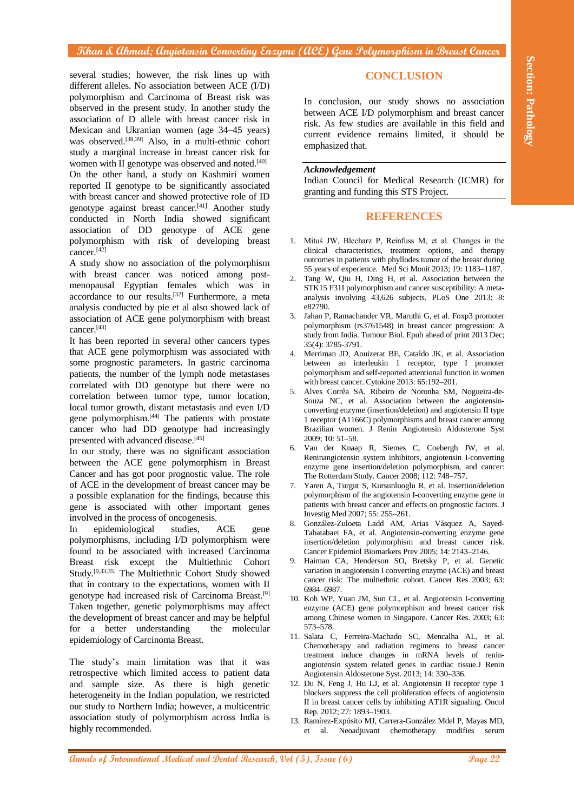**Annals of International Medical Annals of International Medical and Theoretical and the Company of International Medical Annals of International Medical and The Company of International Medical and Dental Annals of Inter** several studies; however, the risk lines up with different alleles. No association between ACE (I/D) polymorphism and Carcinoma of Breast risk was observed in the present study. In another study the association of D allele with breast cancer risk in Mexican and Ukranian women (age 34–45 years) was observed. [38,39] Also, in a multi-ethnic cohort study a marginal increase in breast cancer risk for women with II genotype was observed and noted.<sup>[40]</sup> On the other hand, a study on Kashmiri women reported II genotype to be significantly associated with breast cancer and showed protective role of ID genotype against breast cancer.<sup>[41]</sup> Another study conducted in North India showed significant association of DD genotype of ACE gene polymorphism with risk of developing breast cancer.[42]

A study show no association of the polymorphism with breast cancer was noticed among postmenopausal Egyptian females which was in accordance to our results.<sup>[32]</sup> Furthermore, a meta analysis conducted by pie et al also showed lack of association of ACE gene polymorphism with breast cancer.[43]

It has been reported in several other cancers types that ACE gene polymorphism was associated with some prognostic parameters. In gastric carcinoma patients, the number of the lymph node metastases correlated with DD genotype but there were no correlation between tumor type, tumor location, local tumor growth, distant metastasis and even I/D gene polymorphism. [44] The patients with prostate cancer who had DD genotype had increasingly presented with advanced disease.[45]

In our study, there was no significant association between the ACE gene polymorphism in Breast Cancer and has got poor prognostic value. The role of ACE in the development of breast cancer may be a possible explanation for the findings, because this gene is associated with other important genes involved in the process of oncogenesis.

In epidemiological studies, ACE gene polymorphisms, including I/D polymorphism were found to be associated with increased Carcinoma Breast risk except the Multiethnic Cohort Study.[9,33,35] The Multiethnic Cohort Study showed that in contrary to the expectations, women with II genotype had increased risk of Carcinoma Breast.[9] Taken together, genetic polymorphisms may affect the development of breast cancer and may be helpful for a better understanding the molecular epidemiology of Carcinoma Breast.

The study's main limitation was that it was retrospective which limited access to patient data and sample size. As there is high genetic heterogeneity in the Indian population, we restricted our study to Northern India; however, a multicentric association study of polymorphism across India is highly recommended.

# **CONCLUSION**

In conclusion, our study shows no association between ACE I/D polymorphism and breast cancer risk. As few studies are available in this field and current evidence remains limited, it should be emphasized that.

#### *Acknowledgement*

Indian Council for Medical Research (ICMR) for granting and funding this STS Project.

#### **REFERENCES**

- 1. Mituś JW, Blecharz P, Reinfuss M, et al. Changes in the clinical characteristics, treatment options, and therapy outcomes in patients with phyllodes tumor of the breast during 55 years of experience. Med Sci Monit 2013; 19: 1183–1187.
- 2. Tang W, Qiu H, Ding H, et al. Association between the STK15 F31I polymorphism and cancer susceptibility: A metaanalysis involving 43,626 subjects. PLoS One 2013; 8: e82790.
- 3. Jahan P, Ramachander VR, Maruthi G, et al. Foxp3 promoter polymorphism (rs3761548) in breast cancer progression: A study from India. Tumour Biol. Epub ahead of print 2013 Dec; 35(4): 3785-3791.
- 4. Merriman JD, Aouizerat BE, Cataldo JK, et al. Association between an interleukin 1 receptor, type I promoter polymorphism and self-reported attentional function in women with breast cancer. Cytokine 2013: 65:192–201.
- 5. Alves Corrêa SA, Ribeiro de Noronha SM, Nogueira-de-Souza NC, et al. Association between the angiotensinconverting enzyme (insertion/deletion) and angiotensin II type 1 receptor (A1166C) polymorphisms and breast cancer among Brazilian women. J Renin Angiotensin Aldosterone Syst 2009; 10: 51–58.
- 6. Van der Knaap R, Siemes C, Coebergh JW, et al. Reninangiotensin system inhibitors, angiotensin I-converting enzyme gene insertion/deletion polymorphism, and cancer: The Rotterdam Study. Cancer 2008; 112: 748–757.
- 7. Yaren A, Turgut S, Kursunluoglu R, et al. Insertion/deletion polymorphism of the angiotensin I-converting enzyme gene in patients with breast cancer and effects on prognostic factors. J Investig Med 2007; 55: 255–261.
- 8. González-Zuloeta Ladd AM, Arias Vásquez A, Sayed-Tabatabaei FA, et al. Angiotensin-converting enzyme gene insertion/deletion polymorphism and breast cancer risk. Cancer Epidemiol Biomarkers Prev 2005; 14: 2143–2146.
- 9. Haiman CA, Henderson SO, Bretsky P, et al. Genetic variation in angiotensin I converting enzyme (ACE) and breast cancer risk: The multiethnic cohort. Cancer Res 2003; 63: 6984–6987.
- 10. Koh WP, Yuan JM, Sun CL, et al. Angiotensin I-converting enzyme (ACE) gene polymorphism and breast cancer risk among Chinese women in Singapore. Cancer Res. 2003; 63: 573–578.
- 11. Salata C, Ferreira-Machado SC, Mencalha AL, et al. Chemotherapy and radiation regimens to breast cancer treatment induce changes in mRNA levels of reninangiotensin system related genes in cardiac tissue.J Renin Angiotensin Aldosterone Syst. 2013; 14: 330–336.
- 12. Du N, Feng J, Hu LJ, et al. Angiotensin II receptor type 1 blockers suppress the cell proliferation effects of angiotensin II in breast cancer cells by inhibiting AT1R signaling. Oncol Rep. 2012; 27: 1893–1903.
- 13. Ramírez-Expósito MJ, Carrera-González Mdel P, Mayas MD, et al. Neoadjuvant chemotherapy modifies serum